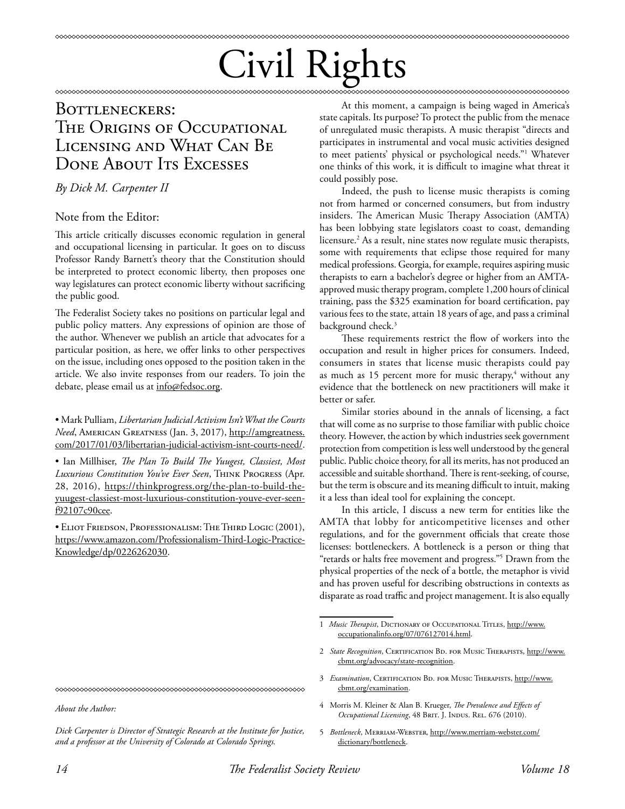# Civil Rights

# BOTTLENECKERS: THE ORIGINS OF OCCUPATIONAL Licensing and What Can Be DONE ABOUT ITS EXCESSES

## *By Dick M. Carpenter II*

### Note from the Editor:

This article critically discusses economic regulation in general and occupational licensing in particular. It goes on to discuss Professor Randy Barnett's theory that the Constitution should be interpreted to protect economic liberty, then proposes one way legislatures can protect economic liberty without sacrificing the public good.

The Federalist Society takes no positions on particular legal and public policy matters. Any expressions of opinion are those of the author. Whenever we publish an article that advocates for a particular position, as here, we offer links to other perspectives on the issue, including ones opposed to the position taken in the article. We also invite responses from our readers. To join the debate, please email us at info@fedsoc.org.

• Mark Pulliam, *Libertarian Judicial Activism Isn't What the Courts Need*, American Greatness (Jan. 3, 2017), http://amgreatness. com/2017/01/03/libertarian-judicial-activism-isnt-courts-need/.

• Ian Millhiser, *The Plan To Build The Yuugest, Classiest, Most Luxurious Constitution You've Ever Seen*, Think Progress (Apr. 28, 2016), https://thinkprogress.org/the-plan-to-build-theyuugest-classiest-most-luxurious-constitution-youve-ever-seenf92107c90cee.

• Eliot Friedson, Professionalism: The Third Logic (2001), https://www.amazon.com/Professionalism-Third-Logic-Practice-Knowledge/dp/0226262030.

At this moment, a campaign is being waged in America's state capitals. Its purpose? To protect the public from the menace of unregulated music therapists. A music therapist "directs and participates in instrumental and vocal music activities designed to meet patients' physical or psychological needs."1 Whatever one thinks of this work, it is difficult to imagine what threat it could possibly pose.

\*\*\*\*\*\*\*\*\*\*\*\*\*\*\*\*\*\*\*\*\*\*\*\*\*\*

Indeed, the push to license music therapists is coming not from harmed or concerned consumers, but from industry insiders. The American Music Therapy Association (AMTA) has been lobbying state legislators coast to coast, demanding licensure.<sup>2</sup> As a result, nine states now regulate music therapists, some with requirements that eclipse those required for many medical professions. Georgia, for example, requires aspiring music therapists to earn a bachelor's degree or higher from an AMTAapproved music therapy program, complete 1,200 hours of clinical training, pass the \$325 examination for board certification, pay various fees to the state, attain 18 years of age, and pass a criminal background check.<sup>3</sup>

These requirements restrict the flow of workers into the occupation and result in higher prices for consumers. Indeed, consumers in states that license music therapists could pay as much as 15 percent more for music therapy,<sup>4</sup> without any evidence that the bottleneck on new practitioners will make it better or safer.

Similar stories abound in the annals of licensing, a fact that will come as no surprise to those familiar with public choice theory. However, the action by which industries seek government protection from competition is less well understood by the general public. Public choice theory, for all its merits, has not produced an accessible and suitable shorthand. There is rent-seeking, of course, but the term is obscure and its meaning difficult to intuit, making it a less than ideal tool for explaining the concept.

In this article, I discuss a new term for entities like the AMTA that lobby for anticompetitive licenses and other regulations, and for the government officials that create those licenses: bottleneckers. A bottleneck is a person or thing that "retards or halts free movement and progress."5 Drawn from the physical properties of the neck of a bottle, the metaphor is vivid and has proven useful for describing obstructions in contexts as disparate as road traffic and project management. It is also equally

*Dick Carpenter is Director of Strategic Research at the Institute for Justice, and a professor at the University of Colorado at Colorado Springs.* 

<sup>1</sup> *Music Therapist*, Dictionary of Occupational Titles, http://www. occupationalinfo.org/07/076127014.html.

<sup>2</sup> State Recognition, CERTIFICATION BD. FOR MUSIC THERAPISTS, http://www. cbmt.org/advocacy/state-recognition.

<sup>3</sup> *Examination*, CERTIFICATION BD. FOR MUSIC THERAPISTS, http://www. cbmt.org/examination.

<sup>4</sup> Morris M. Kleiner & Alan B. Krueger, *The Prevalence and Effects of Occupational Licensing*, 48 BRIT. J. INDUS. REL. 676 (2010).

<sup>5</sup> *Bottleneck*, Merriam-Webster, http://www.merriam-webster.com/ dictionary/bottleneck.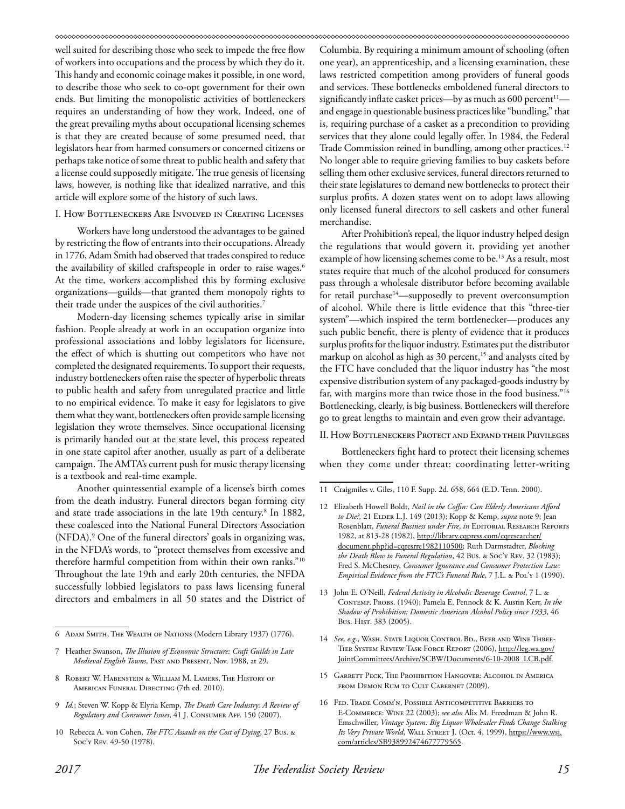#### 

well suited for describing those who seek to impede the free flow of workers into occupations and the process by which they do it. This handy and economic coinage makes it possible, in one word, to describe those who seek to co-opt government for their own ends. But limiting the monopolistic activities of bottleneckers requires an understanding of how they work. Indeed, one of the great prevailing myths about occupational licensing schemes is that they are created because of some presumed need, that legislators hear from harmed consumers or concerned citizens or perhaps take notice of some threat to public health and safety that a license could supposedly mitigate. The true genesis of licensing laws, however, is nothing like that idealized narrative, and this article will explore some of the history of such laws.

#### I. How Bottleneckers Are Involved in Creating Licenses

Workers have long understood the advantages to be gained by restricting the flow of entrants into their occupations. Already in 1776, Adam Smith had observed that trades conspired to reduce the availability of skilled craftspeople in order to raise wages.<sup>6</sup> At the time, workers accomplished this by forming exclusive organizations—guilds—that granted them monopoly rights to their trade under the auspices of the civil authorities.<sup>7</sup>

Modern-day licensing schemes typically arise in similar fashion. People already at work in an occupation organize into professional associations and lobby legislators for licensure, the effect of which is shutting out competitors who have not completed the designated requirements. To support their requests, industry bottleneckers often raise the specter of hyperbolic threats to public health and safety from unregulated practice and little to no empirical evidence. To make it easy for legislators to give them what they want, bottleneckers often provide sample licensing legislation they wrote themselves. Since occupational licensing is primarily handed out at the state level, this process repeated in one state capitol after another, usually as part of a deliberate campaign. The AMTA's current push for music therapy licensing is a textbook and real-time example.

Another quintessential example of a license's birth comes from the death industry. Funeral directors began forming city and state trade associations in the late 19th century.8 In 1882, these coalesced into the National Funeral Directors Association (NFDA).9 One of the funeral directors' goals in organizing was, in the NFDA's words, to "protect themselves from excessive and therefore harmful competition from within their own ranks."10 Throughout the late 19th and early 20th centuries, the NFDA successfully lobbied legislators to pass laws licensing funeral directors and embalmers in all 50 states and the District of

Columbia. By requiring a minimum amount of schooling (often one year), an apprenticeship, and a licensing examination, these laws restricted competition among providers of funeral goods and services. These bottlenecks emboldened funeral directors to significantly inflate casket prices—by as much as  $600$  percent<sup>11</sup> and engage in questionable business practices like "bundling," that is, requiring purchase of a casket as a precondition to providing services that they alone could legally offer. In 1984, the Federal Trade Commission reined in bundling, among other practices.<sup>12</sup> No longer able to require grieving families to buy caskets before selling them other exclusive services, funeral directors returned to their state legislatures to demand new bottlenecks to protect their surplus profits. A dozen states went on to adopt laws allowing only licensed funeral directors to sell caskets and other funeral merchandise.

After Prohibition's repeal, the liquor industry helped design the regulations that would govern it, providing yet another example of how licensing schemes come to be.<sup>13</sup> As a result, most states require that much of the alcohol produced for consumers pass through a wholesale distributor before becoming available for retail purchase<sup>14</sup>—supposedly to prevent overconsumption of alcohol. While there is little evidence that this "three-tier system"—which inspired the term bottlenecker—produces any such public benefit, there is plenty of evidence that it produces surplus profits for the liquor industry. Estimates put the distributor markup on alcohol as high as 30 percent, $15$  and analysts cited by the FTC have concluded that the liquor industry has "the most expensive distribution system of any packaged-goods industry by far, with margins more than twice those in the food business."16 Bottlenecking, clearly, is big business. Bottleneckers will therefore go to great lengths to maintain and even grow their advantage.

#### II. How Bottleneckers Protect and Expand their Privileges

Bottleneckers fight hard to protect their licensing schemes when they come under threat: coordinating letter-writing

- 14 *See, e.g.*, Wash. State Liquor Control Bd., Beer and Wine Three-Tier System Review Task Force Report (2006), http://leg.wa.gov/ JointCommittees/Archive/SCBW/Documents/6-10-2008\_LCB.pdf.
- 15 Garrett Peck, The Prohibition Hangover: Alcohol in America FROM DEMON RUM TO CULT CABERNET (2009).
- 16 Fed. Trade Comm'n, Possible Anticompetitive Barriers to E-Commerce: Wine 22 (2003); *see also* Alix M. Freedman & John R. Emschwiller, *Vintage System: Big Liquor Wholesaler Finds Change Stalking*  Its Very Private World, WALL STREET J. (Oct. 4, 1999), https://www.wsj. com/articles/SB938992474677779565.

<sup>6</sup> Adam Smith, The Wealth of Nations (Modern Library 1937) (1776).

<sup>7</sup> Heather Swanson, *The Illusion of Economic Structure: Craft Guilds in Late Medieval English Towns*, Past and Present, Nov. 1988, at 29.

<sup>8</sup> Robert W. Habenstein & William M. Lamers, The History of American Funeral Directing (7th ed. 2010).

<sup>9</sup> *Id.*; Steven W. Kopp & Elyria Kemp, *The Death Care Industry: A Review of Regulatory and Consumer Issues*, 41 J. Consumer Aff. 150 (2007).

<sup>10</sup> Rebecca A. von Cohen, *The FTC Assault on the Cost of Dying*, 27 Bus. & Soc'y Rev. 49-50 (1978).

<sup>11</sup> Craigmiles v. Giles, 110 F. Supp. 2d. 658, 664 (E.D. Tenn. 2000).

<sup>12</sup> Elizabeth Howell Boldt, *Nail in the Coffin: Can Elderly Americans Afford to Die?,* 21 Elder L.J. 149 (2013); Kopp & Kemp, *supra* note 9; Jean Rosenblatt, *Funeral Business under Fire*, *in* EDITORIAL RESEARCH REPORTS 1982, at 813-28 (1982), http://library.cqpress.com/cqresearcher/ document.php?id=cqresrre1982110500; Ruth Darmstadter, *Blocking the Death Blow to Funeral Regulation*, 42 Bus. & Soc'y Rev. 32 (1983); Fred S. McChesney, *Consumer Ignorance and Consumer Protection Law: Empirical Evidence from the FTC's Funeral Rule*, 7 J.L. & POL'Y 1 (1990).

<sup>13</sup> John E. O'Neill, *Federal Activity in Alcoholic Beverage Control*, 7 L. & Contemp. Probs. (1940); Pamela E. Pennock & K. Austin Kerr, *In the Shadow of Prohibition: Domestic American Alcohol Policy since 1933*, 46 Bus. Hist. 383 (2005).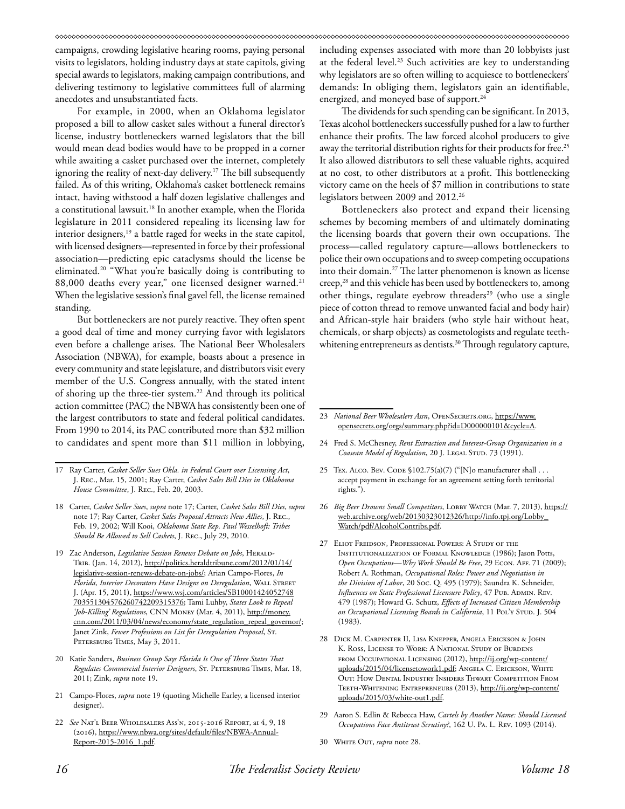campaigns, crowding legislative hearing rooms, paying personal visits to legislators, holding industry days at state capitols, giving special awards to legislators, making campaign contributions, and delivering testimony to legislative committees full of alarming anecdotes and unsubstantiated facts.

For example, in 2000, when an Oklahoma legislator proposed a bill to allow casket sales without a funeral director's license, industry bottleneckers warned legislators that the bill would mean dead bodies would have to be propped in a corner while awaiting a casket purchased over the internet, completely ignoring the reality of next-day delivery.<sup>17</sup> The bill subsequently failed. As of this writing, Oklahoma's casket bottleneck remains intact, having withstood a half dozen legislative challenges and a constitutional lawsuit.<sup>18</sup> In another example, when the Florida legislature in 2011 considered repealing its licensing law for interior designers,<sup>19</sup> a battle raged for weeks in the state capitol, with licensed designers—represented in force by their professional association—predicting epic cataclysms should the license be eliminated.20 "What you're basically doing is contributing to 88,000 deaths every year," one licensed designer warned.<sup>21</sup> When the legislative session's final gavel fell, the license remained standing.

But bottleneckers are not purely reactive. They often spent a good deal of time and money currying favor with legislators even before a challenge arises. The National Beer Wholesalers Association (NBWA), for example, boasts about a presence in every community and state legislature, and distributors visit every member of the U.S. Congress annually, with the stated intent of shoring up the three-tier system.<sup>22</sup> And through its political action committee (PAC) the NBWA has consistently been one of the largest contributors to state and federal political candidates. From 1990 to 2014, its PAC contributed more than \$32 million to candidates and spent more than \$11 million in lobbying,

- 18 Carter, *Casket Seller Sues*, *supra* note 17; Carter, *Casket Sales Bill Dies*, *supra*  note 17; Ray Carter, *Casket Sales Proposal Attracts New Allies*, J. Rec., Feb. 19, 2002; Will Kooi, *Oklahoma State Rep. Paul Wesselhoft: Tribes Should Be Allowed to Sell Caskets*, J. Rec., July 29, 2010.
- 19 Zac Anderson, *Legislative Session Renews Debate on Jobs*, HERALD-Trib. (Jan. 14, 2012), http://politics.heraldtribune.com/2012/01/14/ legislative-session-renews-debate-on-jobs/; Arian Campo-Flores, *In Florida, Interior Decorators Have Designs on Deregulation*, Wall Street J. (Apr. 15, 2011), https://www.wsj.com/articles/SB10001424052748 703551304576260742209315376; Tami Luhby, *States Look to Repeal 'Job-Killing' Regulations*, CNN Money (Mar. 4, 2011), http://money. cnn.com/2011/03/04/news/economy/state\_regulation\_repeal\_governor/; Janet Zink, *Fewer Professions on List for Deregulation Proposal*, St. Petersburg Times, May 3, 2011.
- 20 Katie Sanders, *Business Group Says Florida Is One of Three States That Regulates Commercial Interior Designers*, St. Petersburg Times, Mar. 18, 2011; Zink, *supra* note 19.
- 21 Campo-Flores, *supra* note 19 (quoting Michelle Earley, a licensed interior designer).
- 22 *See* Nat'l Beer Wholesalers Ass'n, 2015-2016 Report, at 4, 9, 18 (2016), https://www.nbwa.org/sites/default/files/NBWA-Annual-Report-2015-2016\_1.pdf.

including expenses associated with more than 20 lobbyists just at the federal level.<sup>23</sup> Such activities are key to understanding why legislators are so often willing to acquiesce to bottleneckers' demands: In obliging them, legislators gain an identifiable, energized, and moneyed base of support.<sup>24</sup>

The dividends for such spending can be significant. In 2013, Texas alcohol bottleneckers successfully pushed for a law to further enhance their profits. The law forced alcohol producers to give away the territorial distribution rights for their products for free.<sup>25</sup> It also allowed distributors to sell these valuable rights, acquired at no cost, to other distributors at a profit. This bottlenecking victory came on the heels of \$7 million in contributions to state legislators between 2009 and 2012.<sup>26</sup>

Bottleneckers also protect and expand their licensing schemes by becoming members of and ultimately dominating the licensing boards that govern their own occupations. The process—called regulatory capture—allows bottleneckers to police their own occupations and to sweep competing occupations into their domain.27 The latter phenomenon is known as license creep,<sup>28</sup> and this vehicle has been used by bottleneckers to, among other things, regulate eyebrow threaders<sup>29</sup> (who use a single piece of cotton thread to remove unwanted facial and body hair) and African-style hair braiders (who style hair without heat, chemicals, or sharp objects) as cosmetologists and regulate teethwhitening entrepreneurs as dentists.<sup>30</sup> Through regulatory capture,

- 24 Fred S. McChesney, *Rent Extraction and Interest-Group Organization in a Coasean Model of Regulation*, 20 J. LEGAL STUD. 73 (1991).
- 25 Tex. ALCO. Bev. CODE §102.75(a)(7) ("[N]o manufacturer shall . . . accept payment in exchange for an agreement setting forth territorial rights.").
- 26 *Big Beer Drowns Small Competitors*, LOBBY WATCH (Mar. 7, 2013), https:// web.archive.org/web/20130323012326/http://info.tpj.org/Lobby\_ Watch/pdf/AlcoholContribs.pdf.
- 27 Eliot Freidson, Professional Powers: A Study of the Institutionalization of Formal Knowledge (1986); Jason Potts, Open Occupations-*Why Work Should Be Free*, 29 ECON. AFF. 71 (2009); Robert A. Rothman, *Occupational Roles: Power and Negotiation in the Division of Labor*, 20 Soc. Q. 495 (1979); Saundra K. Schneider, *Influences on State Professional Licensure Policy*, 47 Pub. ADMIN. Rev. 479 (1987); Howard G. Schutz, *Effects of Increased Citizen Membership*  on Occupational Licensing Boards in California, 11 PoL'y STUD. J. 504 (1983).
- 28 Dick M. Carpenter II, Lisa Knepper, Angela Erickson & John K. Ross, License to Work: A National Study of Burdens from Occupational Licensing (2012), http://ij.org/wp-content/ uploads/2015/04/licensetowork1.pdf; ANGELA C. ERICKSON, WHITE Out: How Dental Industry Insiders Thwart Competition From Teeth-Whitening Entrepreneurs (2013), http://ij.org/wp-content/ uploads/2015/03/white-out1.pdf.
- 29 Aaron S. Edlin & Rebecca Haw, *Cartels by Another Name: Should Licensed Occupations Face Antitrust Scrutiny?*, 162 U. Pa. L. Rev. 1093 (2014).
- 30 White Out, *supra* note 28.

<sup>17</sup> Ray Carter, *Casket Seller Sues Okla. in Federal Court over Licensing Act*, J. Rec., Mar. 15, 2001; Ray Carter, *Casket Sales Bill Dies in Oklahoma House Committee*, J. Rec., Feb. 20, 2003.

<sup>23</sup> *National Beer Wholesalers Assn*, OpenSecrets.org, https://www. opensecrets.org/orgs/summary.php?id=D000000101&cycle=A.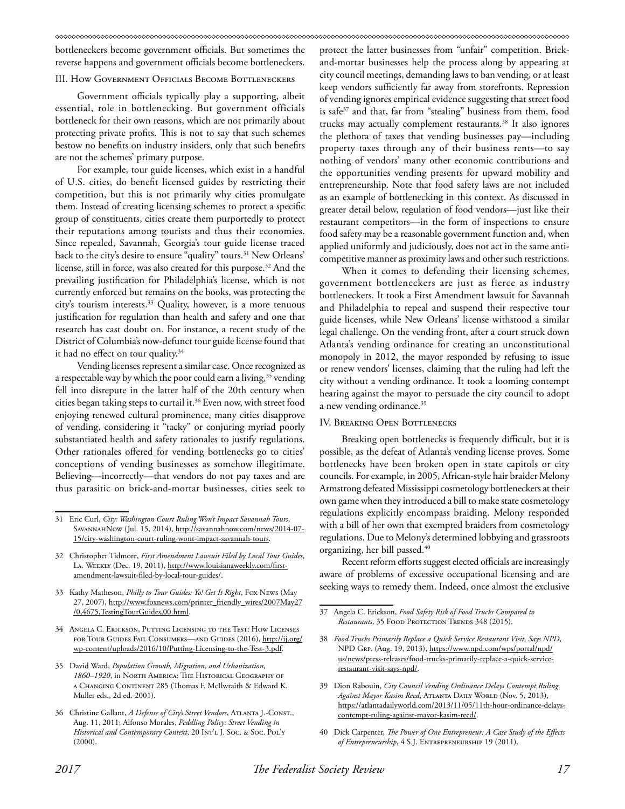bottleneckers become government officials. But sometimes the reverse happens and government officials become bottleneckers.

#### III. How Government Officials Become Bottleneckers

Government officials typically play a supporting, albeit essential, role in bottlenecking. But government officials bottleneck for their own reasons, which are not primarily about protecting private profits. This is not to say that such schemes bestow no benefits on industry insiders, only that such benefits are not the schemes' primary purpose.

For example, tour guide licenses, which exist in a handful of U.S. cities, do benefit licensed guides by restricting their competition, but this is not primarily why cities promulgate them. Instead of creating licensing schemes to protect a specific group of constituents, cities create them purportedly to protect their reputations among tourists and thus their economies. Since repealed, Savannah, Georgia's tour guide license traced back to the city's desire to ensure "quality" tours.<sup>31</sup> New Orleans' license, still in force, was also created for this purpose.32 And the prevailing justification for Philadelphia's license, which is not currently enforced but remains on the books, was protecting the city's tourism interests.33 Quality, however, is a more tenuous justification for regulation than health and safety and one that research has cast doubt on. For instance, a recent study of the District of Columbia's now-defunct tour guide license found that it had no effect on tour quality.<sup>34</sup>

Vending licenses represent a similar case. Once recognized as a respectable way by which the poor could earn a living,<sup>35</sup> vending fell into disrepute in the latter half of the 20th century when cities began taking steps to curtail it.<sup>36</sup> Even now, with street food enjoying renewed cultural prominence, many cities disapprove of vending, considering it "tacky" or conjuring myriad poorly substantiated health and safety rationales to justify regulations. Other rationales offered for vending bottlenecks go to cities' conceptions of vending businesses as somehow illegitimate. Believing—incorrectly—that vendors do not pay taxes and are thus parasitic on brick-and-mortar businesses, cities seek to

- 33 Kathy Matheson, *Philly to Tour Guides: Yo! Get It Right*, Fox News (May 27, 2007), http://www.foxnews.com/printer\_friendly\_wires/2007May27 /0,4675,TestingTourGuides,00.html.
- 34 Angela C. Erickson, Putting Licensing to the Test: How Licenses for Tour Guides Fail Consumers—and Guides (2016), http://ij.org/ wp-content/uploads/2016/10/Putting-Licensing-to-the-Test-3.pdf.
- 35 David Ward, *Population Growth, Migration, and Urbanization, 1860–1920*, in North America: The Historical Geography of a Changing Continent 285 (Thomas F. McIlwraith & Edward K. Muller eds., 2d ed. 2001).
- 36 Christine Gallant, *A Defense of City's Street Vendors*, Atlanta J.-Const., Aug. 11, 2011; Alfonso Morales, *Peddling Policy: Street Vending in Historical and Contemporary Context*, 20 Int'l J. Soc. & Soc. Pol'y (2000).

protect the latter businesses from "unfair" competition. Brickand-mortar businesses help the process along by appearing at city council meetings, demanding laws to ban vending, or at least keep vendors sufficiently far away from storefronts. Repression of vending ignores empirical evidence suggesting that street food is safe<sup>37</sup> and that, far from "stealing" business from them, food trucks may actually complement restaurants.38 It also ignores the plethora of taxes that vending businesses pay—including property taxes through any of their business rents—to say nothing of vendors' many other economic contributions and the opportunities vending presents for upward mobility and entrepreneurship. Note that food safety laws are not included as an example of bottlenecking in this context. As discussed in greater detail below, regulation of food vendors—just like their restaurant competitors—in the form of inspections to ensure food safety may be a reasonable government function and, when applied uniformly and judiciously, does not act in the same anticompetitive manner as proximity laws and other such restrictions.

When it comes to defending their licensing schemes, government bottleneckers are just as fierce as industry bottleneckers. It took a First Amendment lawsuit for Savannah and Philadelphia to repeal and suspend their respective tour guide licenses, while New Orleans' license withstood a similar legal challenge. On the vending front, after a court struck down Atlanta's vending ordinance for creating an unconstitutional monopoly in 2012, the mayor responded by refusing to issue or renew vendors' licenses, claiming that the ruling had left the city without a vending ordinance. It took a looming contempt hearing against the mayor to persuade the city council to adopt a new vending ordinance.<sup>39</sup>

#### IV. Breaking Open Bottlenecks

Breaking open bottlenecks is frequently difficult, but it is possible, as the defeat of Atlanta's vending license proves. Some bottlenecks have been broken open in state capitols or city councils. For example, in 2005, African-style hair braider Melony Armstrong defeated Mississippi cosmetology bottleneckers at their own game when they introduced a bill to make state cosmetology regulations explicitly encompass braiding. Melony responded with a bill of her own that exempted braiders from cosmetology regulations. Due to Melony's determined lobbying and grassroots organizing, her bill passed.40

Recent reform efforts suggest elected officials are increasingly aware of problems of excessive occupational licensing and are seeking ways to remedy them. Indeed, once almost the exclusive

40 Dick Carpenter, *The Power of One Entrepreneur: A Case Study of the Effects of Entrepreneurship*, 4 S.J. Entrepreneurship 19 (2011).

<sup>31</sup> Eric Curl, *City: Washington Court Ruling Won't Impact Savannah Tours*, SAVANNAHNOW (Jul. 15, 2014), http://savannahnow.com/news/2014-07-15/city-washington-court-ruling-wont-impact-savannah-tours.

<sup>32</sup> Christopher Tidmore, *First Amendment Lawsuit Filed by Local Tour Guides*, LA. WEEKLY (Dec. 19, 2011), http://www.louisianaweekly.com/firstamendment-lawsuit-filed-by-local-tour-guides/.

<sup>37</sup> Angela C. Erickson, *Food Safety Risk of Food Trucks Compared to Restaurants*, 35 FOOD PROTECTION TRENDS 348 (2015).

<sup>38</sup> *Food Trucks Primarily Replace a Quick Service Restaurant Visit, Says NPD*, NPD Grp. (Aug. 19, 2013), https://www.npd.com/wps/portal/npd/ us/news/press-releases/food-trucks-primarily-replace-a-quick-servicerestaurant-visit-says-npd/.

<sup>39</sup> [Dion Rabouin](https://atlantadailyworld.com/author/rtmdion/), *City Council Vending Ordinance Delays Contempt Ruling*  Against Mayor Kasim Reed, ATLANTA DAILY WORLD (Nov. 5, 2013), https://atlantadailyworld.com/2013/11/05/11th-hour-ordinance-delayscontempt-ruling-against-mayor-kasim-reed/.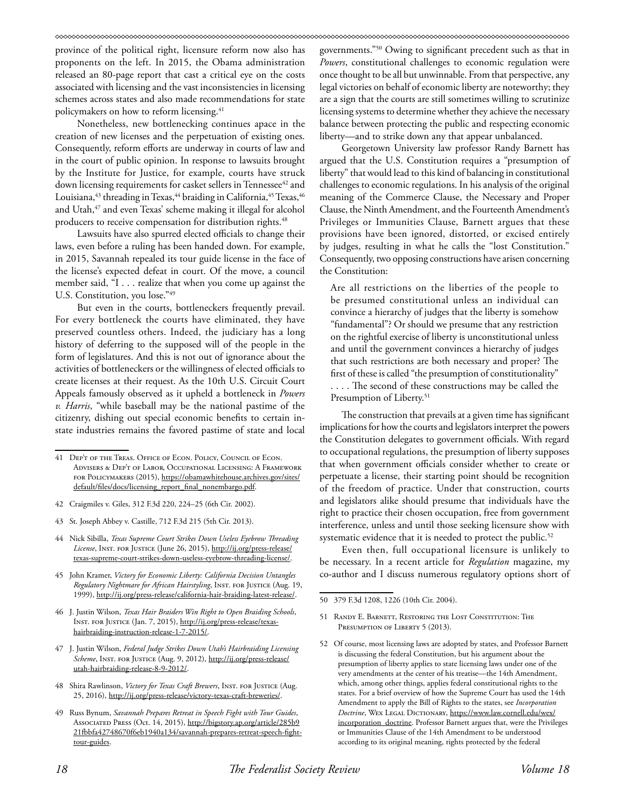province of the political right, licensure reform now also has proponents on the left. In 2015, the Obama administration released an 80-page report that cast a critical eye on the costs associated with licensing and the vast inconsistencies in licensing schemes across states and also made recommendations for state policymakers on how to reform licensing.<sup>41</sup>

Nonetheless, new bottlenecking continues apace in the creation of new licenses and the perpetuation of existing ones. Consequently, reform efforts are underway in courts of law and in the court of public opinion. In response to lawsuits brought by the Institute for Justice, for example, courts have struck down licensing requirements for casket sellers in Tennessee<sup>42</sup> and Louisiana, <sup>43</sup> threading in Texas, <sup>44</sup> braiding in California, <sup>45</sup> Texas, <sup>46</sup> and Utah,<sup>47</sup> and even Texas' scheme making it illegal for alcohol producers to receive compensation for distribution rights.<sup>48</sup>

Lawsuits have also spurred elected officials to change their laws, even before a ruling has been handed down. For example, in 2015, Savannah repealed its tour guide license in the face of the license's expected defeat in court. Of the move, a council member said, "I . . . realize that when you come up against the U.S. Constitution, you lose."49

But even in the courts, bottleneckers frequently prevail. For every bottleneck the courts have eliminated, they have preserved countless others. Indeed, the judiciary has a long history of deferring to the supposed will of the people in the form of legislatures. And this is not out of ignorance about the activities of bottleneckers or the willingness of elected officials to create licenses at their request. As the 10th U.S. Circuit Court Appeals famously observed as it upheld a bottleneck in *Powers v. Harris*, "while baseball may be the national pastime of the citizenry, dishing out special economic benefits to certain instate industries remains the favored pastime of state and local

- 42 Craigmiles v. Giles, 312 F.3d 220, 224–25 (6th Cir. 2002).
- 43 St. Joseph Abbey v. Castille, 712 F.3d 215 (5th Cir. 2013).
- 44 Nick Sibilla, *Texas Supreme Court Strikes Down Useless Eyebrow Threading*  License, Inst. FOR JUSTICE (June 26, 2015), http://ij.org/press-release/ texas-supreme-court-strikes-down-useless-eyebrow-threading-license/.
- 45 John Kramer, *Victory for Economic Liberty: California Decision Untangles Regulatory Nightmare for African Hairstyling*, Inst. for Justice (Aug. 19, 1999), http://ij.org/press-release/california-hair-braiding-latest-release/.
- 46 J. Justin Wilson, *Texas Hair Braiders Win Right to Open Braiding Schools*, Inst. for Justice (Jan. 7, 2015), http://ij.org/press-release/texashairbraiding-instruction-release-1-7-2015/.
- 47 J. Justin Wilson, *Federal Judge Strikes Down Utah's Hairbraiding Licensing Scheme*, Inst. for Justice (Aug. 9, 2012), http://ij.org/press-release/ utah-hairbraiding-release-8-9-2012/.
- 48 Shira Rawlinson, *Victory for Texas Craft Brewers*, INST. FOR JUSTICE (Aug. 25, 2016), http://ij.org/press-release/victory-texas-craft-breweries/.
- 49 Russ Bynum, *Savannah Prepares Retreat in Speech Fight with Tour Guides*, Associated Press (Oct. 14, 2015), http://bigstory.ap.org/article/285b9 21fbbfa42748670f6eb1940a134/savannah-prepares-retreat-speech-fighttour-guides.

governments."50 Owing to significant precedent such as that in *Powers*, constitutional challenges to economic regulation were once thought to be all but unwinnable. From that perspective, any legal victories on behalf of economic liberty are noteworthy; they are a sign that the courts are still sometimes willing to scrutinize licensing systems to determine whether they achieve the necessary balance between protecting the public and respecting economic liberty—and to strike down any that appear unbalanced.

Georgetown University law professor Randy Barnett has argued that the U.S. Constitution requires a "presumption of liberty" that would lead to this kind of balancing in constitutional challenges to economic regulations. In his analysis of the original meaning of the Commerce Clause, the Necessary and Proper Clause, the Ninth Amendment, and the Fourteenth Amendment's Privileges or Immunities Clause, Barnett argues that these provisions have been ignored, distorted, or excised entirely by judges, resulting in what he calls the "lost Constitution." Consequently, two opposing constructions have arisen concerning the Constitution:

Are all restrictions on the liberties of the people to be presumed constitutional unless an individual can convince a hierarchy of judges that the liberty is somehow "fundamental"? Or should we presume that any restriction on the rightful exercise of liberty is unconstitutional unless and until the government convinces a hierarchy of judges that such restrictions are both necessary and proper? The first of these is called "the presumption of constitutionality"

. . . . The second of these constructions may be called the Presumption of Liberty.<sup>51</sup>

The construction that prevails at a given time has significant implications for how the courts and legislators interpret the powers the Constitution delegates to government officials. With regard to occupational regulations, the presumption of liberty supposes that when government officials consider whether to create or perpetuate a license, their starting point should be recognition of the freedom of practice. Under that construction, courts and legislators alike should presume that individuals have the right to practice their chosen occupation, free from government interference, unless and until those seeking licensure show with systematic evidence that it is needed to protect the public.<sup>52</sup>

Even then, full occupational licensure is unlikely to be necessary. In a recent article for *Regulation* magazine, my co-author and I discuss numerous regulatory options short of

- 51 Randy E. Barnett, Restoring the Lost Constitution: The PRESUMPTION OF LIBERTY 5 (2013).
- 52 Of course, most licensing laws are adopted by states, and Professor Barnett is discussing the federal Constitution, but his argument about the presumption of liberty applies to state licensing laws under one of the very amendments at the center of his treatise—the 14th Amendment, which, among other things, applies federal constitutional rights to the states. For a brief overview of how the Supreme Court has used the 14th Amendment to apply the Bill of Rights to the states, see *Incorporation Doctrine*, Wex Legal Dictionary, https://www.law.cornell.edu/wex/ incorporation\_doctrine. Professor Barnett argues that, were the Privileges or Immunities Clause of the 14th Amendment to be understood according to its original meaning, rights protected by the federal

<sup>41</sup> Dep't of the Treas. Office of Econ. Policy, Council of Econ. Advisers & Dep't of Labor, Occupational Licensing: A Framework for Policymakers (2015), https://obamawhitehouse.archives.gov/sites/ default/files/docs/licensing\_report\_final\_nonembargo.pdf.

<sup>50 379</sup> F.3d 1208, 1226 (10th Cir. 2004).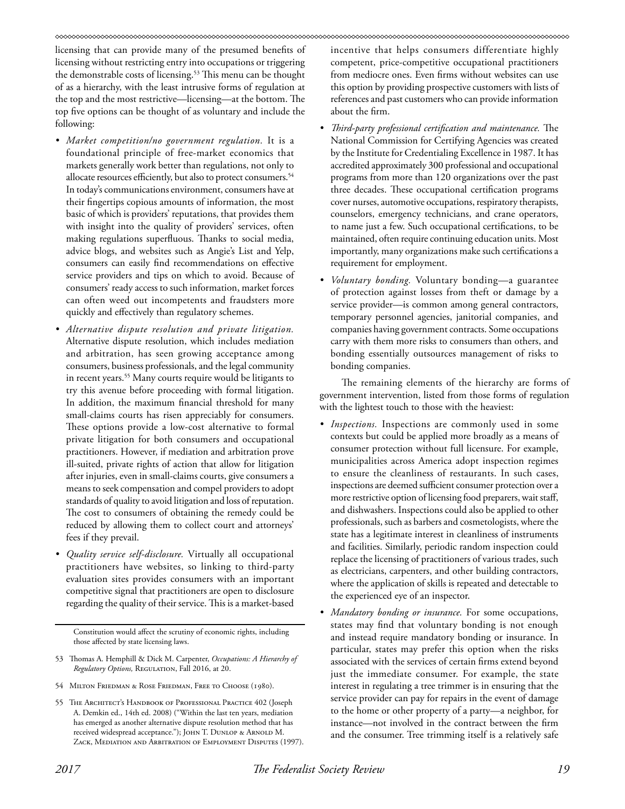#### 

licensing that can provide many of the presumed benefits of licensing without restricting entry into occupations or triggering the demonstrable costs of licensing.53 This menu can be thought of as a hierarchy, with the least intrusive forms of regulation at the top and the most restrictive—licensing—at the bottom. The top five options can be thought of as voluntary and include the following:

- *• Market competition/no government regulation.* It is a foundational principle of free-market economics that markets generally work better than regulations, not only to allocate resources efficiently, but also to protect consumers.<sup>54</sup> In today's communications environment, consumers have at their fingertips copious amounts of information, the most basic of which is providers' reputations, that provides them with insight into the quality of providers' services, often making regulations superfluous. Thanks to social media, advice blogs, and websites such as Angie's List and Yelp, consumers can easily find recommendations on effective service providers and tips on which to avoid. Because of consumers' ready access to such information, market forces can often weed out incompetents and fraudsters more quickly and effectively than regulatory schemes.
- *• Alternative dispute resolution and private litigation.* Alternative dispute resolution, which includes mediation and arbitration, has seen growing acceptance among consumers, business professionals, and the legal community in recent years.<sup>55</sup> Many courts require would be litigants to try this avenue before proceeding with formal litigation. In addition, the maximum financial threshold for many small-claims courts has risen appreciably for consumers. These options provide a low-cost alternative to formal private litigation for both consumers and occupational practitioners. However, if mediation and arbitration prove ill-suited, private rights of action that allow for litigation after injuries, even in small-claims courts, give consumers a means to seek compensation and compel providers to adopt standards of quality to avoid litigation and loss of reputation. The cost to consumers of obtaining the remedy could be reduced by allowing them to collect court and attorneys' fees if they prevail.
- *• Quality service self-disclosure.* Virtually all occupational practitioners have websites, so linking to third-party evaluation sites provides consumers with an important competitive signal that practitioners are open to disclosure regarding the quality of their service. This is a market-based

Constitution would affect the scrutiny of economic rights, including those affected by state licensing laws.

- 53 Thomas A. Hemphill & Dick M. Carpenter, *Occupations: A Hierarchy of Regulatory Options,* Regulation, Fall 2016, at 20.
- 54 Milton Friedman & Rose Friedman, Free to Choose (1980).
- 55 THE ARCHITECT'S HANDBOOK OF PROFESSIONAL PRACTICE 402 (Joseph A. Demkin ed., 14th ed. 2008) ("Within the last ten years, mediation has emerged as another alternative dispute resolution method that has received widespread acceptance."); JOHN T. DUNLOP & ARNOLD M. ZACK, MEDIATION AND ARBITRATION OF EMPLOYMENT DISPUTES (1997).

incentive that helps consumers differentiate highly competent, price-competitive occupational practitioners from mediocre ones. Even firms without websites can use this option by providing prospective customers with lists of references and past customers who can provide information about the firm.

- *• Third-party professional certification and maintenance.* The National Commission for Certifying Agencies was created by the Institute for Credentialing Excellence in 1987. It has accredited approximately 300 professional and occupational programs from more than 120 organizations over the past three decades. These occupational certification programs cover nurses, automotive occupations, respiratory therapists, counselors, emergency technicians, and crane operators, to name just a few. Such occupational certifications, to be maintained, often require continuing education units. Most importantly, many organizations make such certifications a requirement for employment.
- *• Voluntary bonding.* Voluntary bonding—a guarantee of protection against losses from theft or damage by a service provider—is common among general contractors, temporary personnel agencies, janitorial companies, and companies having government contracts. Some occupations carry with them more risks to consumers than others, and bonding essentially outsources management of risks to bonding companies.

The remaining elements of the hierarchy are forms of government intervention, listed from those forms of regulation with the lightest touch to those with the heaviest:

- *• Inspections.* Inspections are commonly used in some contexts but could be applied more broadly as a means of consumer protection without full licensure. For example, municipalities across America adopt inspection regimes to ensure the cleanliness of restaurants. In such cases, inspections are deemed sufficient consumer protection over a more restrictive option of licensing food preparers, wait staff, and dishwashers. Inspections could also be applied to other professionals, such as barbers and cosmetologists, where the state has a legitimate interest in cleanliness of instruments and facilities. Similarly, periodic random inspection could replace the licensing of practitioners of various trades, such as electricians, carpenters, and other building contractors, where the application of skills is repeated and detectable to the experienced eye of an inspector.
- *• Mandatory bonding or insurance.* For some occupations, states may find that voluntary bonding is not enough and instead require mandatory bonding or insurance. In particular, states may prefer this option when the risks associated with the services of certain firms extend beyond just the immediate consumer. For example, the state interest in regulating a tree trimmer is in ensuring that the service provider can pay for repairs in the event of damage to the home or other property of a party—a neighbor, for instance—not involved in the contract between the firm and the consumer. Tree trimming itself is a relatively safe